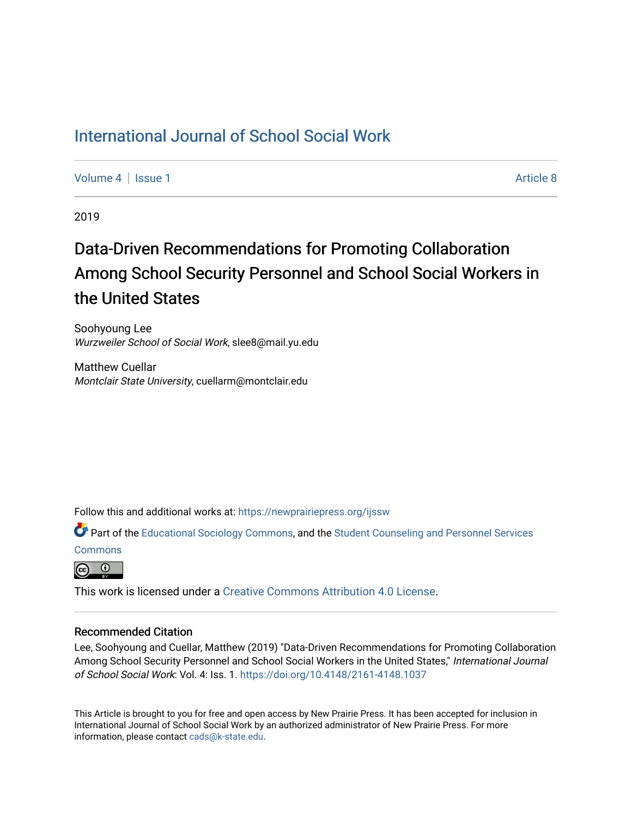## [International Journal of School Social Work](https://newprairiepress.org/ijssw)

[Volume 4](https://newprairiepress.org/ijssw/vol4) | [Issue 1](https://newprairiepress.org/ijssw/vol4/iss1) Article 8

2019

# Data-Driven Recommendations for Promoting Collaboration Among School Security Personnel and School Social Workers in the United States

Soohyoung Lee Wurzweiler School of Social Work, slee8@mail.yu.edu

Matthew Cuellar Montclair State University, cuellarm@montclair.edu

Follow this and additional works at: [https://newprairiepress.org/ijssw](https://newprairiepress.org/ijssw?utm_source=newprairiepress.org%2Fijssw%2Fvol4%2Fiss1%2F8&utm_medium=PDF&utm_campaign=PDFCoverPages) 

Part of the [Educational Sociology Commons,](http://network.bepress.com/hgg/discipline/1071?utm_source=newprairiepress.org%2Fijssw%2Fvol4%2Fiss1%2F8&utm_medium=PDF&utm_campaign=PDFCoverPages) and the [Student Counseling and Personnel Services](http://network.bepress.com/hgg/discipline/802?utm_source=newprairiepress.org%2Fijssw%2Fvol4%2Fiss1%2F8&utm_medium=PDF&utm_campaign=PDFCoverPages)  **[Commons](http://network.bepress.com/hgg/discipline/802?utm_source=newprairiepress.org%2Fijssw%2Fvol4%2Fiss1%2F8&utm_medium=PDF&utm_campaign=PDFCoverPages)** 

<u>ര</u> 0

This work is licensed under a [Creative Commons Attribution 4.0 License](https://creativecommons.org/licenses/by/4.0/).

## Recommended Citation

Lee, Soohyoung and Cuellar, Matthew (2019) "Data-Driven Recommendations for Promoting Collaboration Among School Security Personnel and School Social Workers in the United States," International Journal of School Social Work: Vol. 4: Iss. 1. <https://doi.org/10.4148/2161-4148.1037>

This Article is brought to you for free and open access by New Prairie Press. It has been accepted for inclusion in International Journal of School Social Work by an authorized administrator of New Prairie Press. For more information, please contact [cads@k-state.edu](mailto:cads@k-state.edu).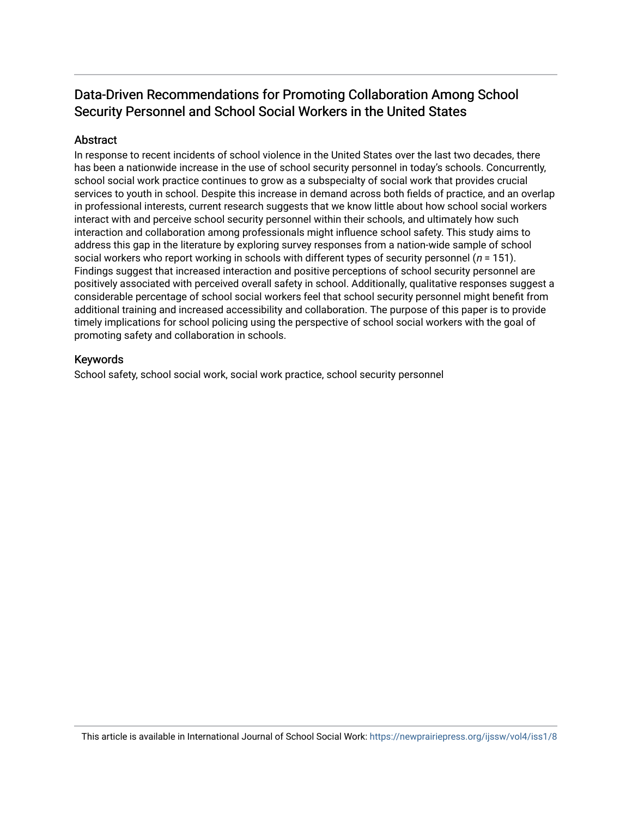## Data-Driven Recommendations for Promoting Collaboration Among School Security Personnel and School Social Workers in the United States

## **Abstract**

In response to recent incidents of school violence in the United States over the last two decades, there has been a nationwide increase in the use of school security personnel in today's schools. Concurrently, school social work practice continues to grow as a subspecialty of social work that provides crucial services to youth in school. Despite this increase in demand across both fields of practice, and an overlap in professional interests, current research suggests that we know little about how school social workers interact with and perceive school security personnel within their schools, and ultimately how such interaction and collaboration among professionals might influence school safety. This study aims to address this gap in the literature by exploring survey responses from a nation-wide sample of school social workers who report working in schools with different types of security personnel ( $n = 151$ ). Findings suggest that increased interaction and positive perceptions of school security personnel are positively associated with perceived overall safety in school. Additionally, qualitative responses suggest a considerable percentage of school social workers feel that school security personnel might benefit from additional training and increased accessibility and collaboration. The purpose of this paper is to provide timely implications for school policing using the perspective of school social workers with the goal of promoting safety and collaboration in schools.

## Keywords

School safety, school social work, social work practice, school security personnel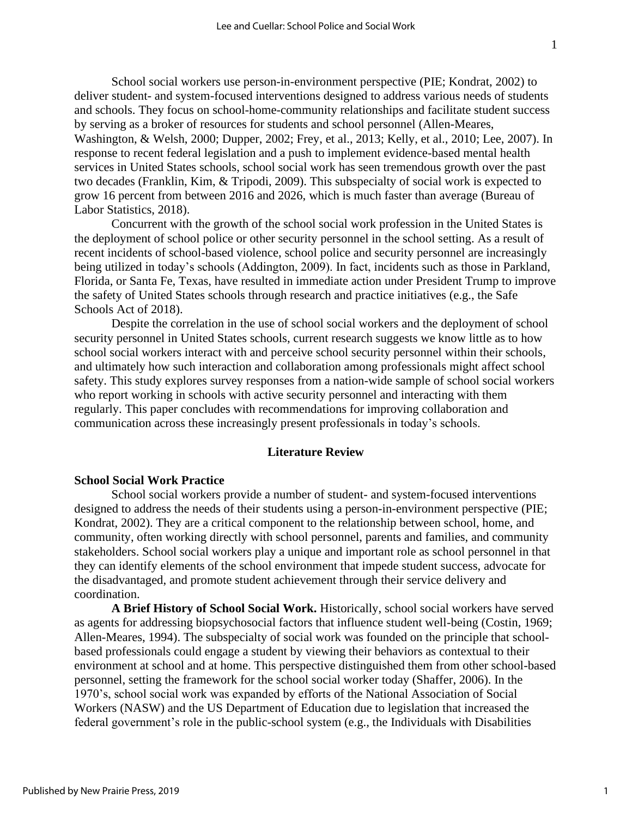School social workers use person-in-environment perspective (PIE; Kondrat, 2002) to deliver student- and system-focused interventions designed to address various needs of students and schools. They focus on school-home-community relationships and facilitate student success by serving as a broker of resources for students and school personnel (Allen-Meares, Washington, & Welsh, 2000; Dupper, 2002; Frey, et al., 2013; Kelly, et al., 2010; Lee, 2007). In response to recent federal legislation and a push to implement evidence-based mental health services in United States schools, school social work has seen tremendous growth over the past two decades (Franklin, Kim, & Tripodi, 2009). This subspecialty of social work is expected to grow 16 percent from between 2016 and 2026, which is much faster than average (Bureau of Labor Statistics, 2018).

Concurrent with the growth of the school social work profession in the United States is the deployment of school police or other security personnel in the school setting. As a result of recent incidents of school-based violence, school police and security personnel are increasingly being utilized in today's schools (Addington, 2009). In fact, incidents such as those in Parkland, Florida, or Santa Fe, Texas, have resulted in immediate action under President Trump to improve the safety of United States schools through research and practice initiatives (e.g., the Safe Schools Act of 2018).

Despite the correlation in the use of school social workers and the deployment of school security personnel in United States schools, current research suggests we know little as to how school social workers interact with and perceive school security personnel within their schools, and ultimately how such interaction and collaboration among professionals might affect school safety. This study explores survey responses from a nation-wide sample of school social workers who report working in schools with active security personnel and interacting with them regularly. This paper concludes with recommendations for improving collaboration and communication across these increasingly present professionals in today's schools.

## **Literature Review**

## **School Social Work Practice**

School social workers provide a number of student- and system-focused interventions designed to address the needs of their students using a person-in-environment perspective (PIE; Kondrat, 2002). They are a critical component to the relationship between school, home, and community, often working directly with school personnel, parents and families, and community stakeholders. School social workers play a unique and important role as school personnel in that they can identify elements of the school environment that impede student success, advocate for the disadvantaged, and promote student achievement through their service delivery and coordination.

**A Brief History of School Social Work.** Historically, school social workers have served as agents for addressing biopsychosocial factors that influence student well-being (Costin, 1969; Allen-Meares, 1994). The subspecialty of social work was founded on the principle that schoolbased professionals could engage a student by viewing their behaviors as contextual to their environment at school and at home. This perspective distinguished them from other school-based personnel, setting the framework for the school social worker today (Shaffer, 2006). In the 1970's, school social work was expanded by efforts of the National Association of Social Workers (NASW) and the US Department of Education due to legislation that increased the federal government's role in the public-school system (e.g., the Individuals with Disabilities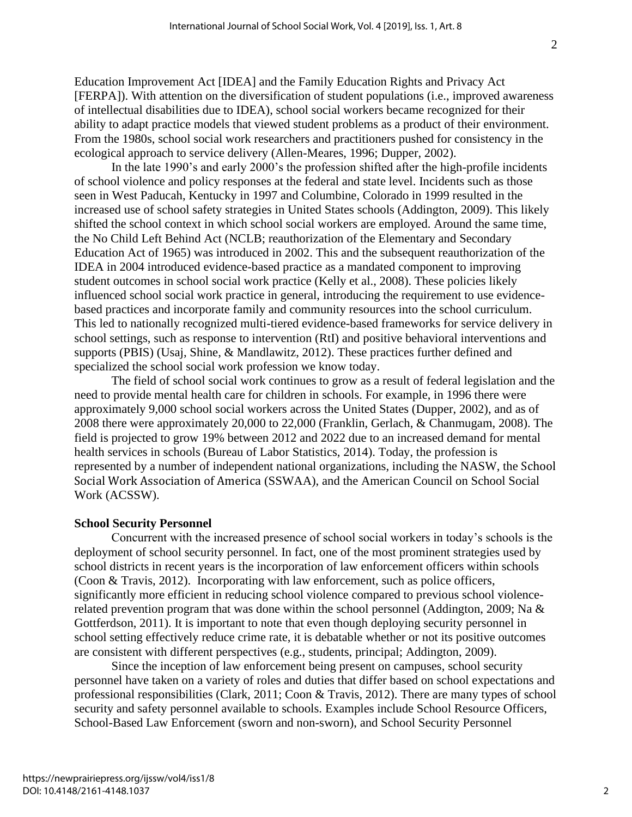Education Improvement Act [IDEA] and the Family Education Rights and Privacy Act [FERPA]). With attention on the diversification of student populations (i.e., improved awareness of intellectual disabilities due to IDEA), school social workers became recognized for their ability to adapt practice models that viewed student problems as a product of their environment. From the 1980s, school social work researchers and practitioners pushed for consistency in the ecological approach to service delivery (Allen-Meares, 1996; Dupper, 2002).

In the late 1990's and early 2000's the profession shifted after the high-profile incidents of school violence and policy responses at the federal and state level. Incidents such as those seen in West Paducah, Kentucky in 1997 and Columbine, Colorado in 1999 resulted in the increased use of school safety strategies in United States schools (Addington, 2009). This likely shifted the school context in which school social workers are employed. Around the same time, the No Child Left Behind Act (NCLB; reauthorization of the Elementary and Secondary Education Act of 1965) was introduced in 2002. This and the subsequent reauthorization of the IDEA in 2004 introduced evidence-based practice as a mandated component to improving student outcomes in school social work practice (Kelly et al., 2008). These policies likely influenced school social work practice in general, introducing the requirement to use evidencebased practices and incorporate family and community resources into the school curriculum. This led to nationally recognized multi-tiered evidence-based frameworks for service delivery in school settings, such as response to intervention (RtI) and positive behavioral interventions and supports (PBIS) (Usaj, Shine, & Mandlawitz, 2012). These practices further defined and specialized the school social work profession we know today.

The field of school social work continues to grow as a result of federal legislation and the need to provide mental health care for children in schools. For example, in 1996 there were approximately 9,000 school social workers across the United States (Dupper, 2002), and as of 2008 there were approximately 20,000 to 22,000 (Franklin, Gerlach, & Chanmugam, 2008). The field is projected to grow 19% between 2012 and 2022 due to an increased demand for mental health services in schools (Bureau of Labor Statistics, 2014). Today, the profession is represented by a number of independent national organizations, including the NASW, the School Social Work Association of America (SSWAA), and the American Council on School Social Work (ACSSW).

## **School Security Personnel**

Concurrent with the increased presence of school social workers in today's schools is the deployment of school security personnel. In fact, one of the most prominent strategies used by school districts in recent years is the incorporation of law enforcement officers within schools (Coon & Travis, 2012). Incorporating with law enforcement, such as police officers, significantly more efficient in reducing school violence compared to previous school violencerelated prevention program that was done within the school personnel (Addington, 2009; Na & Gottferdson, 2011). It is important to note that even though deploying security personnel in school setting effectively reduce crime rate, it is debatable whether or not its positive outcomes are consistent with different perspectives (e.g., students, principal; Addington, 2009).

Since the inception of law enforcement being present on campuses, school security personnel have taken on a variety of roles and duties that differ based on school expectations and professional responsibilities (Clark, 2011; Coon & Travis, 2012). There are many types of school security and safety personnel available to schools. Examples include School Resource Officers, School-Based Law Enforcement (sworn and non-sworn), and School Security Personnel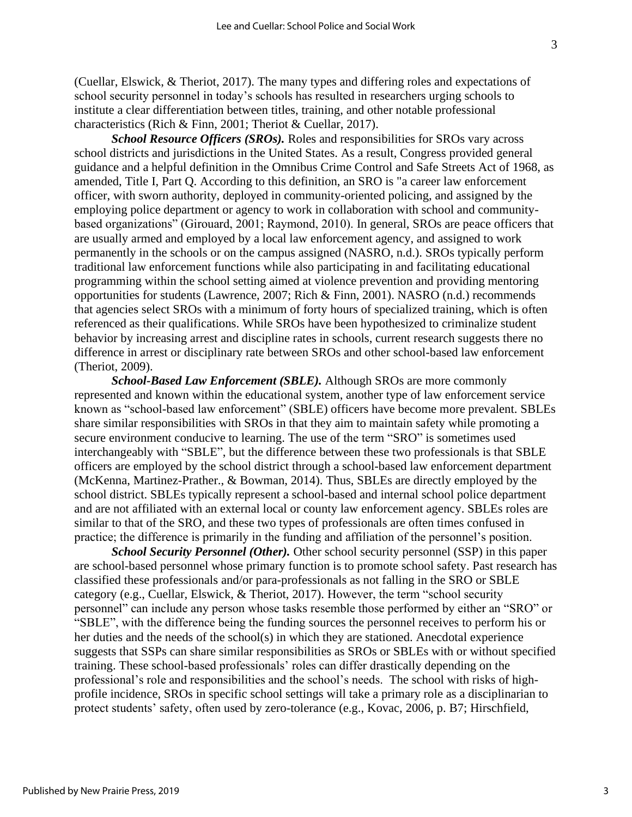(Cuellar, Elswick, & Theriot, 2017). The many types and differing roles and expectations of school security personnel in today's schools has resulted in researchers urging schools to institute a clear differentiation between titles, training, and other notable professional characteristics (Rich & Finn, 2001; Theriot & Cuellar, 2017).

*School Resource Officers (SROs).* Roles and responsibilities for SROs vary across school districts and jurisdictions in the United States. As a result, Congress provided general guidance and a helpful definition in the Omnibus Crime Control and Safe Streets Act of 1968, as amended, Title I, Part Q. According to this definition, an SRO is "a career law enforcement officer, with sworn authority, deployed in community-oriented policing, and assigned by the employing police department or agency to work in collaboration with school and communitybased organizations" (Girouard, 2001; Raymond, 2010). In general, SROs are peace officers that are usually armed and employed by a local law enforcement agency, and assigned to work permanently in the schools or on the campus assigned (NASRO, n.d.). SROs typically perform traditional law enforcement functions while also participating in and facilitating educational programming within the school setting aimed at violence prevention and providing mentoring opportunities for students (Lawrence, 2007; Rich & Finn, 2001). NASRO (n.d.) recommends that agencies select SROs with a minimum of forty hours of specialized training, which is often referenced as their qualifications. While SROs have been hypothesized to criminalize student behavior by increasing arrest and discipline rates in schools, current research suggests there no difference in arrest or disciplinary rate between SROs and other school-based law enforcement (Theriot, 2009).

*School-Based Law Enforcement (SBLE).* Although SROs are more commonly represented and known within the educational system, another type of law enforcement service known as "school-based law enforcement" (SBLE) officers have become more prevalent. SBLEs share similar responsibilities with SROs in that they aim to maintain safety while promoting a secure environment conducive to learning. The use of the term "SRO" is sometimes used interchangeably with "SBLE", but the difference between these two professionals is that SBLE officers are employed by the school district through a school-based law enforcement department (McKenna, Martinez-Prather., & Bowman, 2014). Thus, SBLEs are directly employed by the school district. SBLEs typically represent a school-based and internal school police department and are not affiliated with an external local or county law enforcement agency. SBLEs roles are similar to that of the SRO, and these two types of professionals are often times confused in practice; the difference is primarily in the funding and affiliation of the personnel's position.

*School Security Personnel (Other).* Other school security personnel (SSP) in this paper are school-based personnel whose primary function is to promote school safety. Past research has classified these professionals and/or para-professionals as not falling in the SRO or SBLE category (e.g., Cuellar, Elswick, & Theriot, 2017). However, the term "school security personnel" can include any person whose tasks resemble those performed by either an "SRO" or "SBLE", with the difference being the funding sources the personnel receives to perform his or her duties and the needs of the school(s) in which they are stationed. Anecdotal experience suggests that SSPs can share similar responsibilities as SROs or SBLEs with or without specified training. These school-based professionals' roles can differ drastically depending on the professional's role and responsibilities and the school's needs. The school with risks of highprofile incidence, SROs in specific school settings will take a primary role as a disciplinarian to protect students' safety, often used by zero-tolerance (e.g., Kovac, 2006, p. B7; Hirschfield,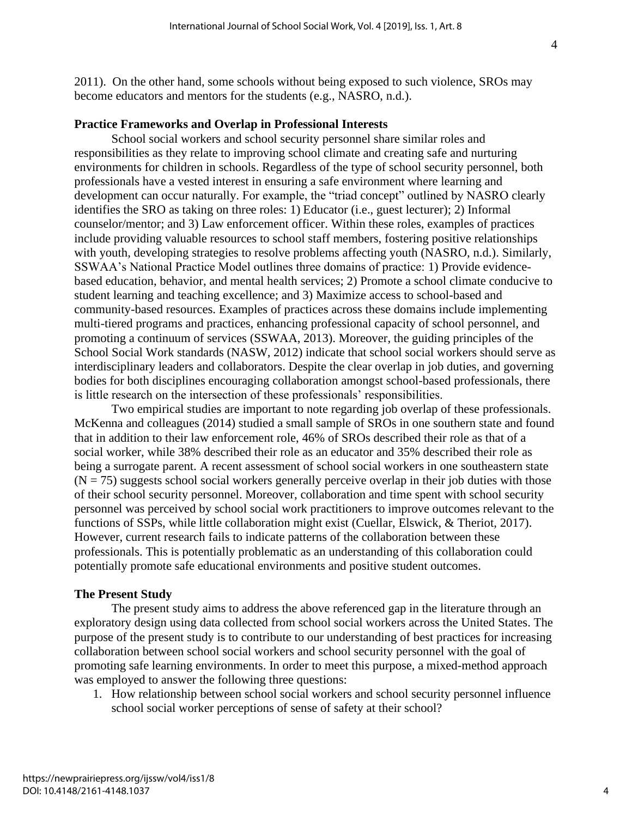2011). On the other hand, some schools without being exposed to such violence, SROs may become educators and mentors for the students (e.g., NASRO, n.d.).

## **Practice Frameworks and Overlap in Professional Interests**

School social workers and school security personnel share similar roles and responsibilities as they relate to improving school climate and creating safe and nurturing environments for children in schools. Regardless of the type of school security personnel, both professionals have a vested interest in ensuring a safe environment where learning and development can occur naturally. For example, the "triad concept" outlined by NASRO clearly identifies the SRO as taking on three roles: 1) Educator (i.e., guest lecturer); 2) Informal counselor/mentor; and 3) Law enforcement officer. Within these roles, examples of practices include providing valuable resources to school staff members, fostering positive relationships with youth, developing strategies to resolve problems affecting youth (NASRO, n.d.). Similarly, SSWAA's National Practice Model outlines three domains of practice: 1) Provide evidencebased education, behavior, and mental health services; 2) Promote a school climate conducive to student learning and teaching excellence; and 3) Maximize access to school-based and community-based resources. Examples of practices across these domains include implementing multi-tiered programs and practices, enhancing professional capacity of school personnel, and promoting a continuum of services (SSWAA, 2013). Moreover, the guiding principles of the School Social Work standards (NASW, 2012) indicate that school social workers should serve as interdisciplinary leaders and collaborators. Despite the clear overlap in job duties, and governing bodies for both disciplines encouraging collaboration amongst school-based professionals, there is little research on the intersection of these professionals' responsibilities.

Two empirical studies are important to note regarding job overlap of these professionals. McKenna and colleagues (2014) studied a small sample of SROs in one southern state and found that in addition to their law enforcement role, 46% of SROs described their role as that of a social worker, while 38% described their role as an educator and 35% described their role as being a surrogate parent. A recent assessment of school social workers in one southeastern state  $(N = 75)$  suggests school social workers generally perceive overlap in their job duties with those of their school security personnel. Moreover, collaboration and time spent with school security personnel was perceived by school social work practitioners to improve outcomes relevant to the functions of SSPs, while little collaboration might exist (Cuellar, Elswick, & Theriot, 2017). However, current research fails to indicate patterns of the collaboration between these professionals. This is potentially problematic as an understanding of this collaboration could potentially promote safe educational environments and positive student outcomes.

#### **The Present Study**

The present study aims to address the above referenced gap in the literature through an exploratory design using data collected from school social workers across the United States. The purpose of the present study is to contribute to our understanding of best practices for increasing collaboration between school social workers and school security personnel with the goal of promoting safe learning environments. In order to meet this purpose, a mixed-method approach was employed to answer the following three questions:

1. How relationship between school social workers and school security personnel influence school social worker perceptions of sense of safety at their school?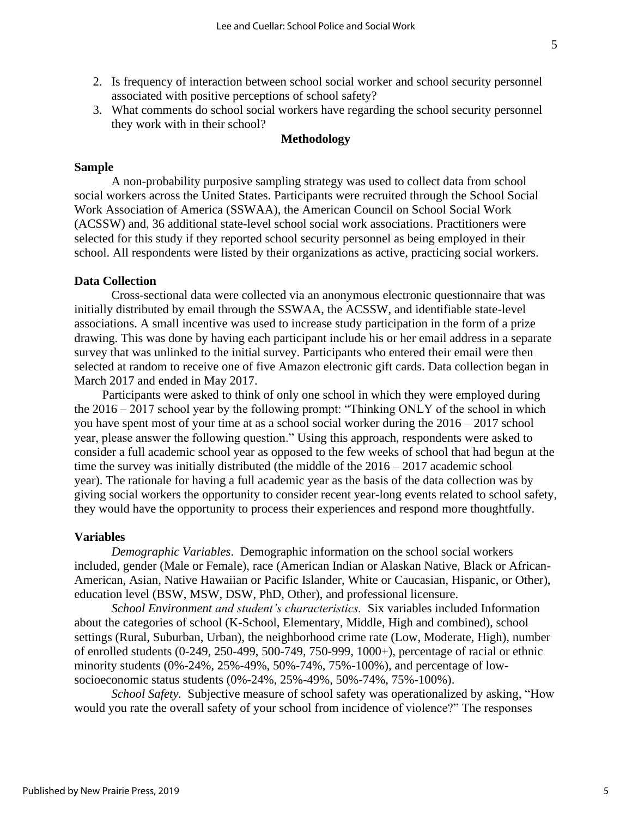- 2. Is frequency of interaction between school social worker and school security personnel associated with positive perceptions of school safety?
- 3. What comments do school social workers have regarding the school security personnel they work with in their school?

## **Methodology**

## **Sample**

A non-probability purposive sampling strategy was used to collect data from school social workers across the United States. Participants were recruited through the School Social Work Association of America (SSWAA), the American Council on School Social Work (ACSSW) and, 36 additional state-level school social work associations. Practitioners were selected for this study if they reported school security personnel as being employed in their school. All respondents were listed by their organizations as active, practicing social workers.

#### **Data Collection**

Cross-sectional data were collected via an anonymous electronic questionnaire that was initially distributed by email through the SSWAA, the ACSSW, and identifiable state-level associations. A small incentive was used to increase study participation in the form of a prize drawing. This was done by having each participant include his or her email address in a separate survey that was unlinked to the initial survey. Participants who entered their email were then selected at random to receive one of five Amazon electronic gift cards. Data collection began in March 2017 and ended in May 2017.

Participants were asked to think of only one school in which they were employed during the 2016 – 2017 school year by the following prompt: "Thinking ONLY of the school in which you have spent most of your time at as a school social worker during the 2016 – 2017 school year, please answer the following question." Using this approach, respondents were asked to consider a full academic school year as opposed to the few weeks of school that had begun at the time the survey was initially distributed (the middle of the 2016 – 2017 academic school year). The rationale for having a full academic year as the basis of the data collection was by giving social workers the opportunity to consider recent year-long events related to school safety, they would have the opportunity to process their experiences and respond more thoughtfully.

#### **Variables**

*Demographic Variables*. Demographic information on the school social workers included, gender (Male or Female), race (American Indian or Alaskan Native, Black or African-American, Asian, Native Hawaiian or Pacific Islander, White or Caucasian, Hispanic, or Other), education level (BSW, MSW, DSW, PhD, Other), and professional licensure.

*School Environment and student's characteristics.* Six variables included Information about the categories of school (K-School, Elementary, Middle, High and combined), school settings (Rural, Suburban, Urban), the neighborhood crime rate (Low, Moderate, High), number of enrolled students (0-249, 250-499, 500-749, 750-999, 1000+), percentage of racial or ethnic minority students (0%-24%, 25%-49%, 50%-74%, 75%-100%), and percentage of lowsocioeconomic status students (0%-24%, 25%-49%, 50%-74%, 75%-100%).

*School Safety.*Subjective measure of school safety was operationalized by asking, "How would you rate the overall safety of your school from incidence of violence?" The responses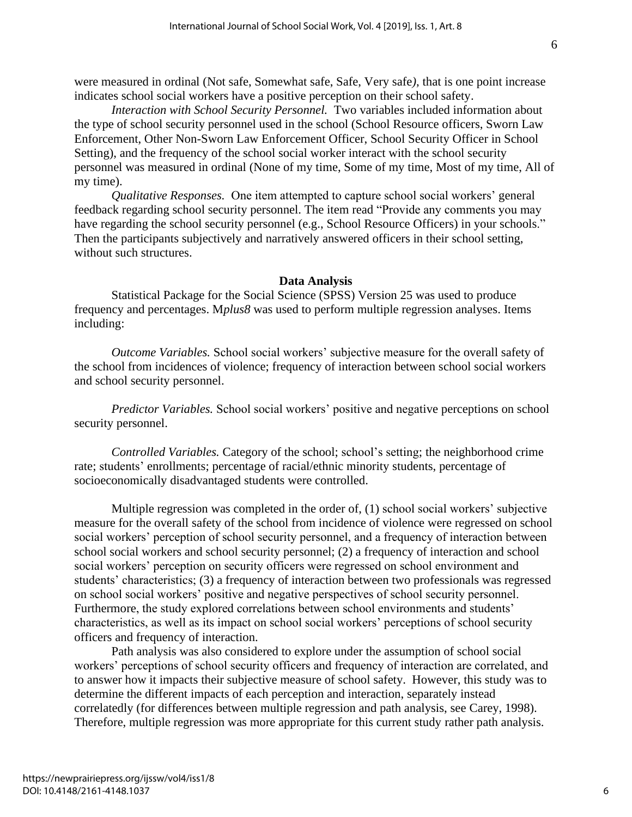were measured in ordinal (Not safe, Somewhat safe, Safe, Very safe*)*, that is one point increase indicates school social workers have a positive perception on their school safety.

*Interaction with School Security Personnel.* Two variables included information about the type of school security personnel used in the school (School Resource officers, Sworn Law Enforcement, Other Non-Sworn Law Enforcement Officer, School Security Officer in School Setting), and the frequency of the school social worker interact with the school security personnel was measured in ordinal (None of my time, Some of my time, Most of my time, All of my time).

*Qualitative Responses.* One item attempted to capture school social workers' general feedback regarding school security personnel. The item read "Provide any comments you may have regarding the school security personnel (e.g., School Resource Officers) in your schools." Then the participants subjectively and narratively answered officers in their school setting, without such structures.

#### **Data Analysis**

Statistical Package for the Social Science (SPSS) Version 25 was used to produce frequency and percentages. M*plus8* was used to perform multiple regression analyses. Items including:

*Outcome Variables.* School social workers' subjective measure for the overall safety of the school from incidences of violence; frequency of interaction between school social workers and school security personnel.

*Predictor Variables.* School social workers' positive and negative perceptions on school security personnel.

*Controlled Variables.* Category of the school; school's setting; the neighborhood crime rate; students' enrollments; percentage of racial/ethnic minority students, percentage of socioeconomically disadvantaged students were controlled.

Multiple regression was completed in the order of, (1) school social workers' subjective measure for the overall safety of the school from incidence of violence were regressed on school social workers' perception of school security personnel, and a frequency of interaction between school social workers and school security personnel; (2) a frequency of interaction and school social workers' perception on security officers were regressed on school environment and students' characteristics; (3) a frequency of interaction between two professionals was regressed on school social workers' positive and negative perspectives of school security personnel. Furthermore, the study explored correlations between school environments and students' characteristics, as well as its impact on school social workers' perceptions of school security officers and frequency of interaction.

Path analysis was also considered to explore under the assumption of school social workers' perceptions of school security officers and frequency of interaction are correlated, and to answer how it impacts their subjective measure of school safety. However, this study was to determine the different impacts of each perception and interaction, separately instead correlatedly (for differences between multiple regression and path analysis, see Carey, 1998). Therefore, multiple regression was more appropriate for this current study rather path analysis.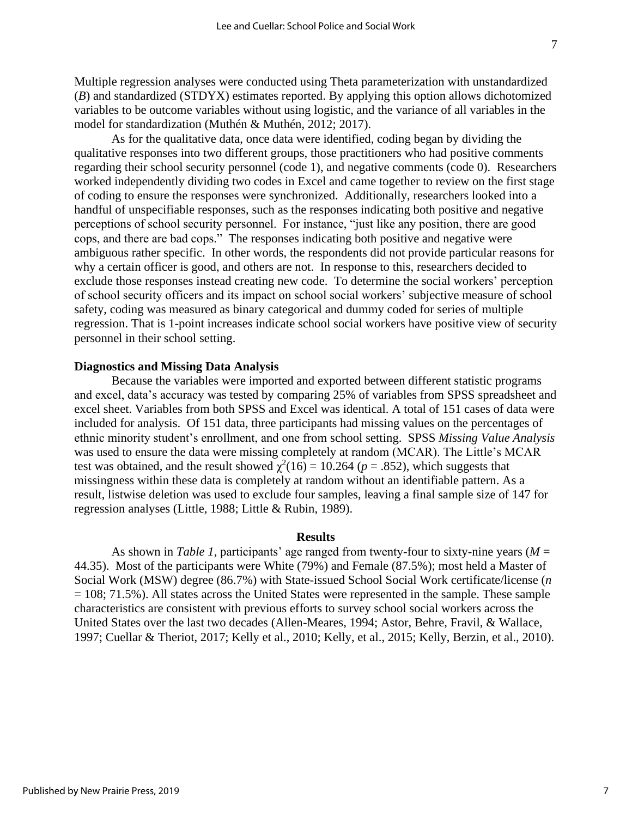Multiple regression analyses were conducted using Theta parameterization with unstandardized (*B*) and standardized (STDYX) estimates reported. By applying this option allows dichotomized variables to be outcome variables without using logistic, and the variance of all variables in the model for standardization (Muthén & Muthén, 2012; 2017).

As for the qualitative data, once data were identified, coding began by dividing the qualitative responses into two different groups, those practitioners who had positive comments regarding their school security personnel (code 1), and negative comments (code 0). Researchers worked independently dividing two codes in Excel and came together to review on the first stage of coding to ensure the responses were synchronized. Additionally, researchers looked into a handful of unspecifiable responses, such as the responses indicating both positive and negative perceptions of school security personnel. For instance, "just like any position, there are good cops, and there are bad cops." The responses indicating both positive and negative were ambiguous rather specific. In other words, the respondents did not provide particular reasons for why a certain officer is good, and others are not. In response to this, researchers decided to exclude those responses instead creating new code. To determine the social workers' perception of school security officers and its impact on school social workers' subjective measure of school safety, coding was measured as binary categorical and dummy coded for series of multiple regression. That is 1-point increases indicate school social workers have positive view of security personnel in their school setting.

#### **Diagnostics and Missing Data Analysis**

Because the variables were imported and exported between different statistic programs and excel, data's accuracy was tested by comparing 25% of variables from SPSS spreadsheet and excel sheet. Variables from both SPSS and Excel was identical. A total of 151 cases of data were included for analysis. Of 151 data, three participants had missing values on the percentages of ethnic minority student's enrollment, and one from school setting. SPSS *Missing Value Analysis* was used to ensure the data were missing completely at random (MCAR). The Little's MCAR test was obtained, and the result showed  $\chi^2(16) = 10.264$  ( $p = .852$ ), which suggests that missingness within these data is completely at random without an identifiable pattern. As a result, listwise deletion was used to exclude four samples, leaving a final sample size of 147 for regression analyses (Little, 1988; Little & Rubin, 1989).

#### **Results**

As shown in *Table 1*, participants' age ranged from twenty-four to sixty-nine years ( $M =$ 44.35). Most of the participants were White (79%) and Female (87.5%); most held a Master of Social Work (MSW) degree (86.7%) with State-issued School Social Work certificate/license (*n*  $= 108$ ; 71.5%). All states across the United States were represented in the sample. These sample characteristics are consistent with previous efforts to survey school social workers across the United States over the last two decades (Allen-Meares, 1994; Astor, Behre, Fravil, & Wallace, 1997; Cuellar & Theriot, 2017; Kelly et al., 2010; Kelly, et al., 2015; Kelly, Berzin, et al., 2010).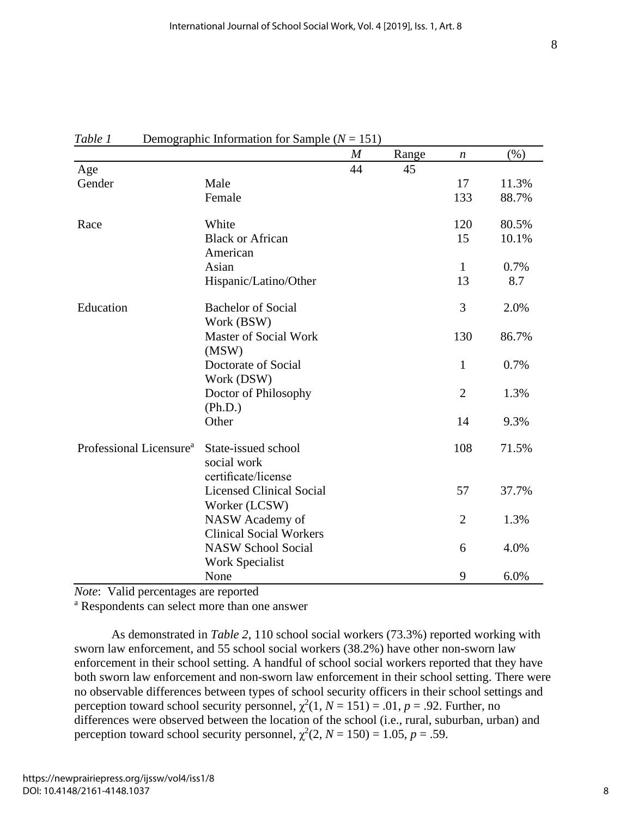|                                     |                                                           | $\boldsymbol{M}$ | Range | $\boldsymbol{n}$ | $(\% )$ |
|-------------------------------------|-----------------------------------------------------------|------------------|-------|------------------|---------|
| Age                                 |                                                           | 44               | 45    |                  |         |
| Gender                              | Male                                                      |                  |       | 17               | 11.3%   |
|                                     | Female                                                    |                  |       | 133              | 88.7%   |
| Race                                | White                                                     |                  |       | 120              | 80.5%   |
|                                     | <b>Black or African</b><br>American                       |                  |       | 15               | 10.1%   |
|                                     | Asian                                                     |                  |       | 1                | 0.7%    |
|                                     | Hispanic/Latino/Other                                     |                  |       | 13               | 8.7     |
| Education                           | <b>Bachelor of Social</b><br>Work (BSW)                   |                  |       | 3                | 2.0%    |
|                                     | <b>Master of Social Work</b><br>(MSW)                     |                  |       | 130              | 86.7%   |
|                                     | Doctorate of Social<br>Work (DSW)                         |                  |       | $\mathbf{1}$     | 0.7%    |
|                                     | Doctor of Philosophy<br>(Ph.D.)                           |                  |       | $\overline{2}$   | 1.3%    |
|                                     | Other                                                     |                  |       | 14               | 9.3%    |
| Professional Licensure <sup>a</sup> | State-issued school<br>social work<br>certificate/license |                  |       | 108              | 71.5%   |
|                                     | <b>Licensed Clinical Social</b><br>Worker (LCSW)          |                  |       | 57               | 37.7%   |
|                                     | NASW Academy of<br><b>Clinical Social Workers</b>         |                  |       | $\overline{2}$   | 1.3%    |
|                                     | <b>NASW School Social</b><br><b>Work Specialist</b>       |                  |       | 6                | 4.0%    |
|                                     | None                                                      |                  |       | 9                | 6.0%    |

## *Table 1* Demographic Information for Sample (*N* = 151)

*Note*: Valid percentages are reported

<sup>a</sup> Respondents can select more than one answer

As demonstrated in *Table 2*, 110 school social workers (73.3%) reported working with sworn law enforcement, and 55 school social workers (38.2%) have other non-sworn law enforcement in their school setting. A handful of school social workers reported that they have both sworn law enforcement and non-sworn law enforcement in their school setting. There were no observable differences between types of school security officers in their school settings and perception toward school security personnel,  $\chi^2(1, N = 151) = .01$ ,  $p = .92$ . Further, no differences were observed between the location of the school (i.e., rural, suburban, urban) and perception toward school security personnel,  $\chi^2(2, N = 150) = 1.05$ ,  $p = .59$ .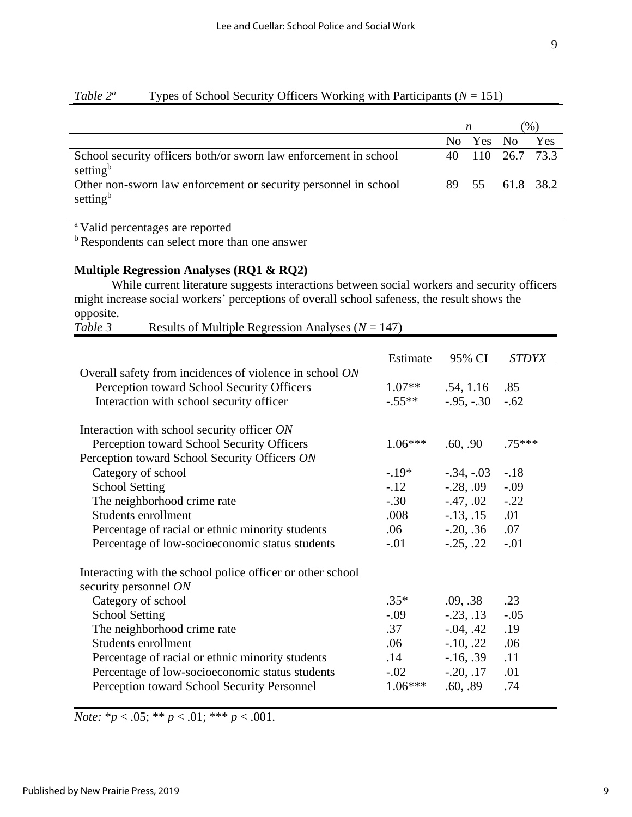|                                                                                          | n |           | $%$ )            |     |
|------------------------------------------------------------------------------------------|---|-----------|------------------|-----|
|                                                                                          |   | No Yes No |                  | Yes |
| School security officers both/or sworn law enforcement in school<br>setting <sup>b</sup> |   |           | 40 110 26.7 73.3 |     |
| Other non-sworn law enforcement or security personnel in school<br>setting <sup>b</sup>  |   |           | 89 55 61.8 38.2  |     |

## *Table 2<sup><i>a*</sup> Types of School Security Officers Working with Participants ( $N = 151$ )

<sup>a</sup> Valid percentages are reported

<sup>b</sup> Respondents can select more than one answer

## **Multiple Regression Analyses (RQ1 & RQ2)**

While current literature suggests interactions between social workers and security officers might increase social workers' perceptions of overall school safeness, the result shows the opposite.

*Table 3* Results of Multiple Regression Analyses (*N* = 147)

|                                                            | Estimate  | 95% CI          | <i>STDYX</i> |
|------------------------------------------------------------|-----------|-----------------|--------------|
| Overall safety from incidences of violence in school ON    |           |                 |              |
| Perception toward School Security Officers                 | $1.07**$  | .54, 1.16       | .85          |
| Interaction with school security officer                   | $-.55**$  | $-.95, -.30$    | $-.62$       |
| Interaction with school security officer ON                |           |                 |              |
| Perception toward School Security Officers                 | $1.06***$ | .60, .90        | $.75***$     |
| Perception toward School Security Officers ON              |           |                 |              |
| Category of school                                         | $-19*$    | $-.34, -.03$    | $-.18$       |
| <b>School Setting</b>                                      | $-.12$    | $-0.28, .09$    | $-.09$       |
| The neighborhood crime rate                                | $-.30$    | $-.47, .02-.22$ |              |
| Students enrollment                                        | .008      | $-.13, .15$ .01 |              |
| Percentage of racial or ethnic minority students           | .06       | $-0.20, .36$    | .07          |
| Percentage of low-socioeconomic status students            | $-.01$    | $-.25, .22$     | $-.01$       |
| Interacting with the school police officer or other school |           |                 |              |
| security personnel ON                                      |           |                 |              |
| Category of school                                         | $.35*$    | .09, .38        | .23          |
| <b>School Setting</b>                                      | $-.09$    | $-.23, .13$     | $-.05$       |
| The neighborhood crime rate                                | .37       | $-0.04, .42$    | .19          |
| Students enrollment                                        | .06       | $-.10, .22$     | .06          |
| Percentage of racial or ethnic minority students           | .14       | $-16, .39$      | .11          |
| Percentage of low-socioeconomic status students            | $-.02$    | $-.20, .17$     | .01          |
| Perception toward School Security Personnel                | $1.06***$ | .60, .89        | .74          |

*Note:*  $* p < .05; ** p < .01; *** p < .001$ .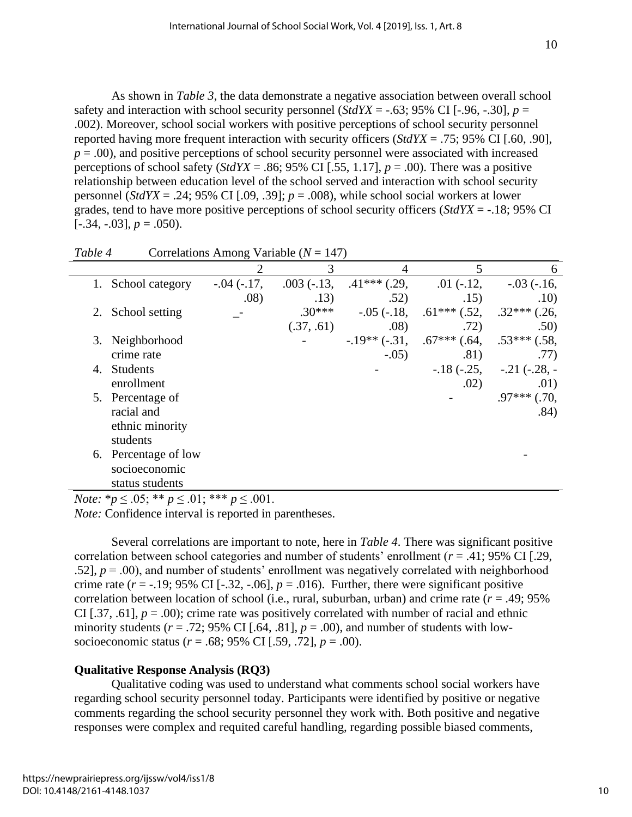As shown in *Table 3*, the data demonstrate a negative association between overall school safety and interaction with school security personnel (*StdYX* = -.63; 95% CI [-.96, -.30],  $p =$ .002). Moreover, school social workers with positive perceptions of school security personnel reported having more frequent interaction with security officers (*StdYX* = .75; 95% CI [.60, .90],  $p = .00$ ), and positive perceptions of school security personnel were associated with increased perceptions of school safety (*StdYX* = .86; 95% CI [.55, 1.17],  $p = .00$ ). There was a positive relationship between education level of the school served and interaction with school security personnel (*StdYX* = .24; 95% CI [.09, .39];  $p = .008$ ), while school social workers at lower grades, tend to have more positive perceptions of school security officers (*StdYX* = -.18; 95% CI  $[-.34, -.03], p = .050$ .

|                  |                      | 2             | 3            | 4              | 5                  | 6                 |
|------------------|----------------------|---------------|--------------|----------------|--------------------|-------------------|
|                  | School category      | $-.04 (-.17,$ | $.003(-.13,$ | $.41***$ (.29, | $.01(-.12,$        | $-.03$ ( $-.16$ ) |
|                  |                      | .08)          | .13)         | .52)           | .15)               | .10)              |
| 2.               | School setting       |               | $.30***$     | $-.05(-.18,$   | $.61***$ $(.52, )$ | $.32***$ (.26,    |
|                  |                      |               | (.37, .61)   | .08)           | .72)               | .50)              |
| 3.               | Neighborhood         |               |              | $-.19**(-.31,$ | $.67***$ $(.64,$   | $.53***(.58,$     |
|                  | crime rate           |               |              | $-.05)$        | .81)               | .77)              |
| $\overline{4}$ . | <b>Students</b>      |               |              |                | $-.18(-.25,$       | $-.21(-.28,-)$    |
|                  | enrollment           |               |              |                | .02)               | .01)              |
|                  | 5. Percentage of     |               |              |                |                    | $.97***$ $(.70,$  |
|                  | racial and           |               |              |                |                    | .84)              |
|                  | ethnic minority      |               |              |                |                    |                   |
|                  | students             |               |              |                |                    |                   |
|                  | 6. Percentage of low |               |              |                |                    |                   |
|                  | socioeconomic        |               |              |                |                    |                   |
|                  | status students      |               |              |                |                    |                   |

*Note:*  ${}^*p \leq .05$ ;  ${}^{**}p \leq .01$ ;  ${}^{***}p \leq .001$ .

*Note:* Confidence interval is reported in parentheses.

Several correlations are important to note, here in *Table 4*. There was significant positive correlation between school categories and number of students' enrollment (*r* = .41; 95% CI [.29, .52],  $p = .00$ ), and number of students' enrollment was negatively correlated with neighborhood crime rate  $(r = -.19; 95\% \text{ CI} [-.32, -.06], p = .016)$ . Further, there were significant positive correlation between location of school (i.e., rural, suburban, urban) and crime rate  $(r = .49; 95\%)$ CI [.37, .61],  $p = .00$ ); crime rate was positively correlated with number of racial and ethnic minority students ( $r = .72$ ; 95% CI [.64, .81],  $p = .00$ ), and number of students with lowsocioeconomic status (*r* = .68; 95% CI [.59, .72], *p* = .00).

## **Qualitative Response Analysis (RQ3)**

Qualitative coding was used to understand what comments school social workers have regarding school security personnel today. Participants were identified by positive or negative comments regarding the school security personnel they work with. Both positive and negative responses were complex and requited careful handling, regarding possible biased comments,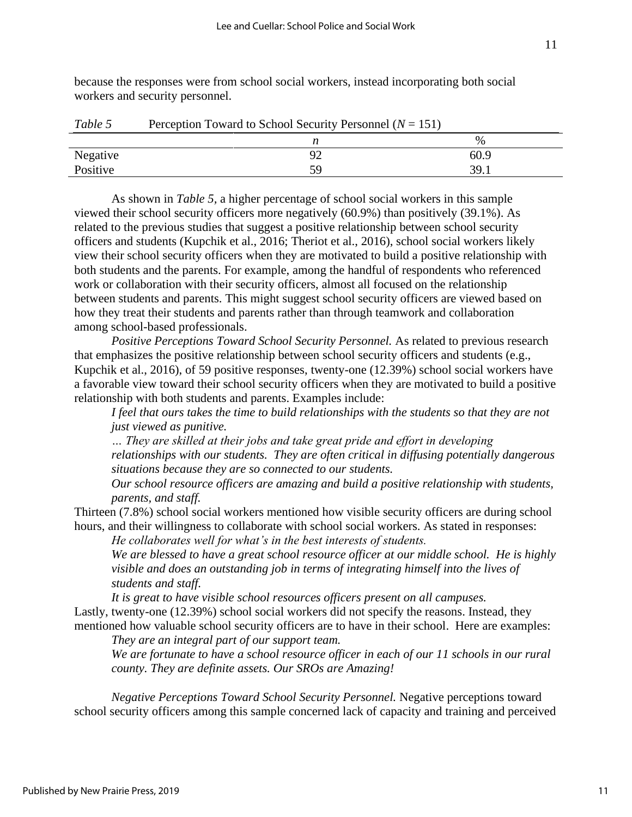because the responses were from school social workers, instead incorporating both social workers and security personnel.

| ------   | $\sim$ 0.000 $\mu$ 0.000 $\mu$ 0.000 $\mu$ 0.000 $\mu$ 0.000 $\mu$ 0.000 $\mu$ 0.000 $\mu$ 0.000 $\mu$ 0.000 $\mu$ 0.000 $\mu$ 0.000 $\mu$ 0.000 $\mu$ 0.000 $\mu$ 0.000 $\mu$ 0.000 $\mu$ 0.000 $\mu$ 0.000 $\mu$ 0.000 $\mu$ 0.000 $\mu$ 0.000 | $   \prime$ |
|----------|--------------------------------------------------------------------------------------------------------------------------------------------------------------------------------------------------------------------------------------------------|-------------|
|          |                                                                                                                                                                                                                                                  | %           |
| Negative | ′ ∠                                                                                                                                                                                                                                              | 60.9        |
| Positive | 59                                                                                                                                                                                                                                               | 39.1        |
|          |                                                                                                                                                                                                                                                  |             |

*Table 5* Perception Toward to School Security Personnel  $(N = 151)$ 

As shown in *Table 5,* a higher percentage of school social workers in this sample viewed their school security officers more negatively (60.9%) than positively (39.1%). As related to the previous studies that suggest a positive relationship between school security officers and students (Kupchik et al., 2016; Theriot et al., 2016), school social workers likely view their school security officers when they are motivated to build a positive relationship with both students and the parents. For example, among the handful of respondents who referenced work or collaboration with their security officers, almost all focused on the relationship between students and parents. This might suggest school security officers are viewed based on how they treat their students and parents rather than through teamwork and collaboration among school-based professionals.

*Positive Perceptions Toward School Security Personnel.* As related to previous research that emphasizes the positive relationship between school security officers and students (e.g., Kupchik et al., 2016), of 59 positive responses, twenty-one (12.39%) school social workers have a favorable view toward their school security officers when they are motivated to build a positive relationship with both students and parents. Examples include:

*I feel that ours takes the time to build relationships with the students so that they are not just viewed as punitive.*

*… They are skilled at their jobs and take great pride and effort in developing relationships with our students. They are often critical in diffusing potentially dangerous situations because they are so connected to our students.*

*Our school resource officers are amazing and build a positive relationship with students, parents, and staff.*

Thirteen (7.8%) school social workers mentioned how visible security officers are during school hours, and their willingness to collaborate with school social workers. As stated in responses:

*He collaborates well for what's in the best interests of students.*

*We are blessed to have a great school resource officer at our middle school. He is highly visible and does an outstanding job in terms of integrating himself into the lives of students and staff.* 

*It is great to have visible school resources officers present on all campuses.*  Lastly, twenty-one (12.39%) school social workers did not specify the reasons. Instead, they

mentioned how valuable school security officers are to have in their school. Here are examples: *They are an integral part of our support team.*

*We are fortunate to have a school resource officer in each of our 11 schools in our rural county. They are definite assets. Our SROs are Amazing!*

*Negative Perceptions Toward School Security Personnel.* Negative perceptions toward school security officers among this sample concerned lack of capacity and training and perceived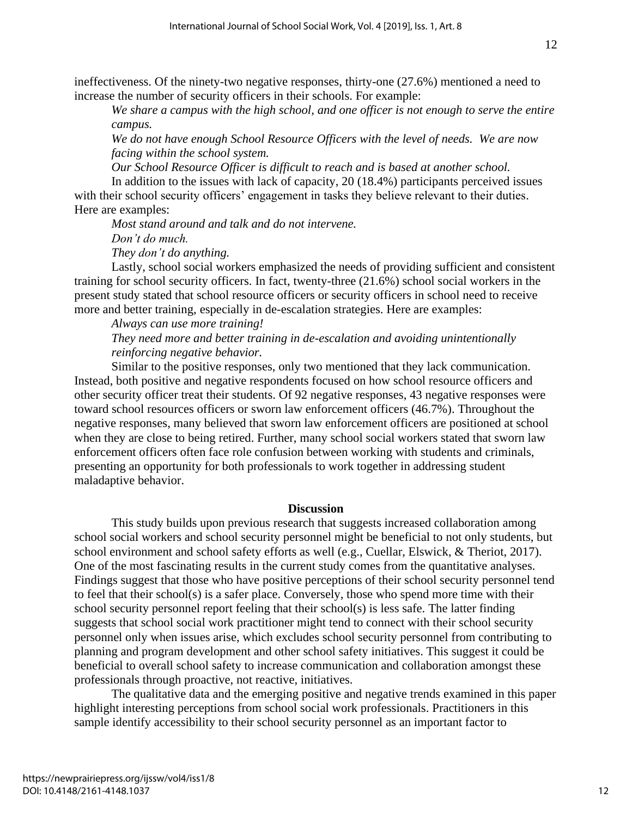ineffectiveness. Of the ninety-two negative responses, thirty-one (27.6%) mentioned a need to increase the number of security officers in their schools. For example:

*We share a campus with the high school, and one officer is not enough to serve the entire campus.*

*We do not have enough School Resource Officers with the level of needs. We are now facing within the school system.*

*Our School Resource Officer is difficult to reach and is based at another school.*

In addition to the issues with lack of capacity, 20 (18.4%) participants perceived issues with their school security officers' engagement in tasks they believe relevant to their duties. Here are examples:

*Most stand around and talk and do not intervene. Don't do much.*

*They don't do anything.*

Lastly, school social workers emphasized the needs of providing sufficient and consistent training for school security officers. In fact, twenty-three (21.6%) school social workers in the present study stated that school resource officers or security officers in school need to receive more and better training, especially in de-escalation strategies. Here are examples:

## *Always can use more training!*

## *They need more and better training in de-escalation and avoiding unintentionally reinforcing negative behavior.*

Similar to the positive responses, only two mentioned that they lack communication. Instead, both positive and negative respondents focused on how school resource officers and other security officer treat their students. Of 92 negative responses, 43 negative responses were toward school resources officers or sworn law enforcement officers (46.7%). Throughout the negative responses, many believed that sworn law enforcement officers are positioned at school when they are close to being retired. Further, many school social workers stated that sworn law enforcement officers often face role confusion between working with students and criminals, presenting an opportunity for both professionals to work together in addressing student maladaptive behavior.

## **Discussion**

This study builds upon previous research that suggests increased collaboration among school social workers and school security personnel might be beneficial to not only students, but school environment and school safety efforts as well (e.g., Cuellar, Elswick, & Theriot, 2017). One of the most fascinating results in the current study comes from the quantitative analyses. Findings suggest that those who have positive perceptions of their school security personnel tend to feel that their school(s) is a safer place. Conversely, those who spend more time with their school security personnel report feeling that their school(s) is less safe. The latter finding suggests that school social work practitioner might tend to connect with their school security personnel only when issues arise, which excludes school security personnel from contributing to planning and program development and other school safety initiatives. This suggest it could be beneficial to overall school safety to increase communication and collaboration amongst these professionals through proactive, not reactive, initiatives.

The qualitative data and the emerging positive and negative trends examined in this paper highlight interesting perceptions from school social work professionals. Practitioners in this sample identify accessibility to their school security personnel as an important factor to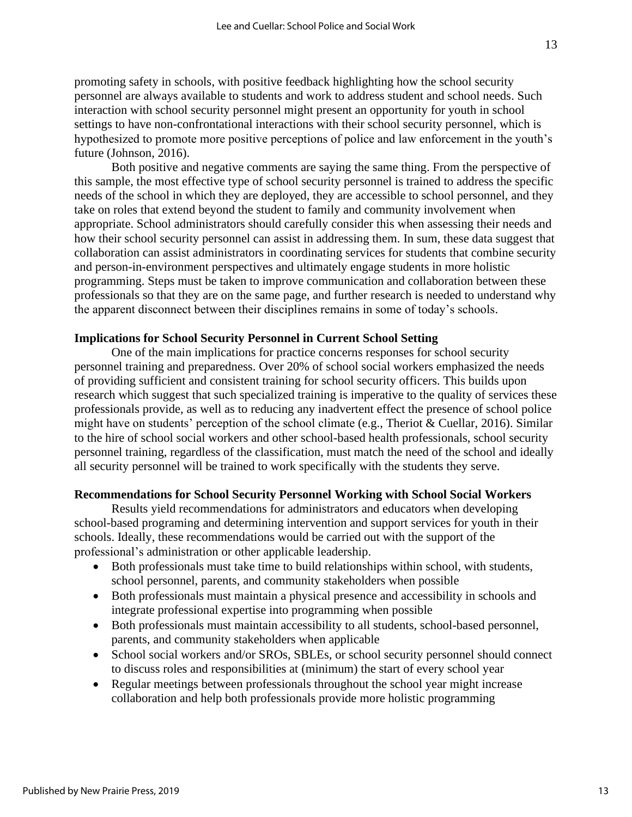Both positive and negative comments are saying the same thing. From the perspective of this sample, the most effective type of school security personnel is trained to address the specific needs of the school in which they are deployed, they are accessible to school personnel, and they take on roles that extend beyond the student to family and community involvement when appropriate. School administrators should carefully consider this when assessing their needs and how their school security personnel can assist in addressing them. In sum, these data suggest that collaboration can assist administrators in coordinating services for students that combine security and person-in-environment perspectives and ultimately engage students in more holistic programming. Steps must be taken to improve communication and collaboration between these professionals so that they are on the same page, and further research is needed to understand why the apparent disconnect between their disciplines remains in some of today's schools.

## **Implications for School Security Personnel in Current School Setting**

One of the main implications for practice concerns responses for school security personnel training and preparedness. Over 20% of school social workers emphasized the needs of providing sufficient and consistent training for school security officers. This builds upon research which suggest that such specialized training is imperative to the quality of services these professionals provide, as well as to reducing any inadvertent effect the presence of school police might have on students' perception of the school climate (e.g., Theriot & Cuellar, 2016). Similar to the hire of school social workers and other school-based health professionals, school security personnel training, regardless of the classification, must match the need of the school and ideally all security personnel will be trained to work specifically with the students they serve.

## **Recommendations for School Security Personnel Working with School Social Workers**

Results yield recommendations for administrators and educators when developing school-based programing and determining intervention and support services for youth in their schools. Ideally, these recommendations would be carried out with the support of the professional's administration or other applicable leadership.

- Both professionals must take time to build relationships within school, with students, school personnel, parents, and community stakeholders when possible
- Both professionals must maintain a physical presence and accessibility in schools and integrate professional expertise into programming when possible
- Both professionals must maintain accessibility to all students, school-based personnel, parents, and community stakeholders when applicable
- School social workers and/or SROs, SBLEs, or school security personnel should connect to discuss roles and responsibilities at (minimum) the start of every school year
- Regular meetings between professionals throughout the school year might increase collaboration and help both professionals provide more holistic programming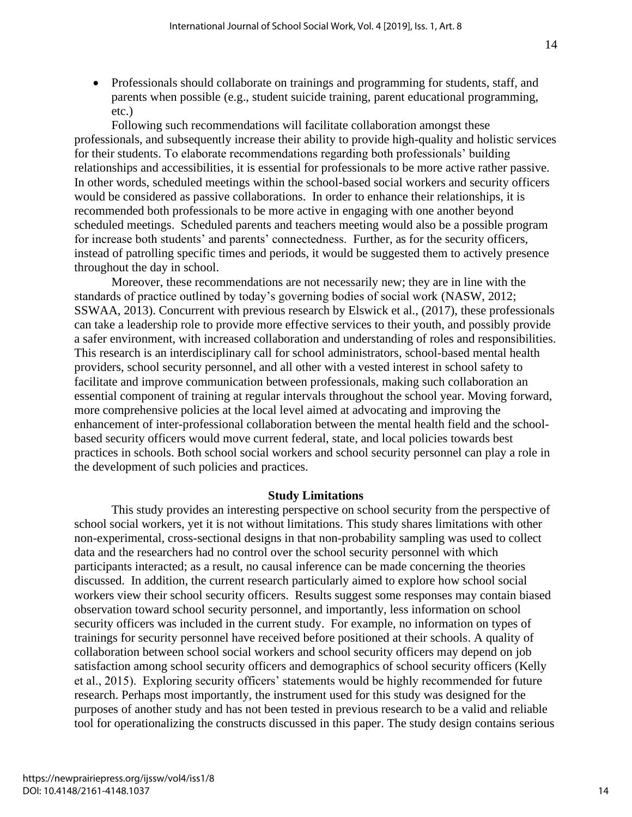• Professionals should collaborate on trainings and programming for students, staff, and parents when possible (e.g., student suicide training, parent educational programming, etc.)

Following such recommendations will facilitate collaboration amongst these professionals, and subsequently increase their ability to provide high-quality and holistic services for their students. To elaborate recommendations regarding both professionals' building relationships and accessibilities, it is essential for professionals to be more active rather passive. In other words, scheduled meetings within the school-based social workers and security officers would be considered as passive collaborations. In order to enhance their relationships, it is recommended both professionals to be more active in engaging with one another beyond scheduled meetings. Scheduled parents and teachers meeting would also be a possible program for increase both students' and parents' connectedness. Further, as for the security officers, instead of patrolling specific times and periods, it would be suggested them to actively presence throughout the day in school.

Moreover, these recommendations are not necessarily new; they are in line with the standards of practice outlined by today's governing bodies of social work (NASW, 2012; SSWAA, 2013). Concurrent with previous research by Elswick et al., (2017), these professionals can take a leadership role to provide more effective services to their youth, and possibly provide a safer environment, with increased collaboration and understanding of roles and responsibilities. This research is an interdisciplinary call for school administrators, school-based mental health providers, school security personnel, and all other with a vested interest in school safety to facilitate and improve communication between professionals, making such collaboration an essential component of training at regular intervals throughout the school year. Moving forward, more comprehensive policies at the local level aimed at advocating and improving the enhancement of inter-professional collaboration between the mental health field and the schoolbased security officers would move current federal, state, and local policies towards best practices in schools. Both school social workers and school security personnel can play a role in the development of such policies and practices.

## **Study Limitations**

This study provides an interesting perspective on school security from the perspective of school social workers, yet it is not without limitations. This study shares limitations with other non-experimental, cross-sectional designs in that non-probability sampling was used to collect data and the researchers had no control over the school security personnel with which participants interacted; as a result, no causal inference can be made concerning the theories discussed. In addition, the current research particularly aimed to explore how school social workers view their school security officers. Results suggest some responses may contain biased observation toward school security personnel, and importantly, less information on school security officers was included in the current study. For example, no information on types of trainings for security personnel have received before positioned at their schools. A quality of collaboration between school social workers and school security officers may depend on job satisfaction among school security officers and demographics of school security officers (Kelly et al., 2015). Exploring security officers' statements would be highly recommended for future research. Perhaps most importantly, the instrument used for this study was designed for the purposes of another study and has not been tested in previous research to be a valid and reliable tool for operationalizing the constructs discussed in this paper. The study design contains serious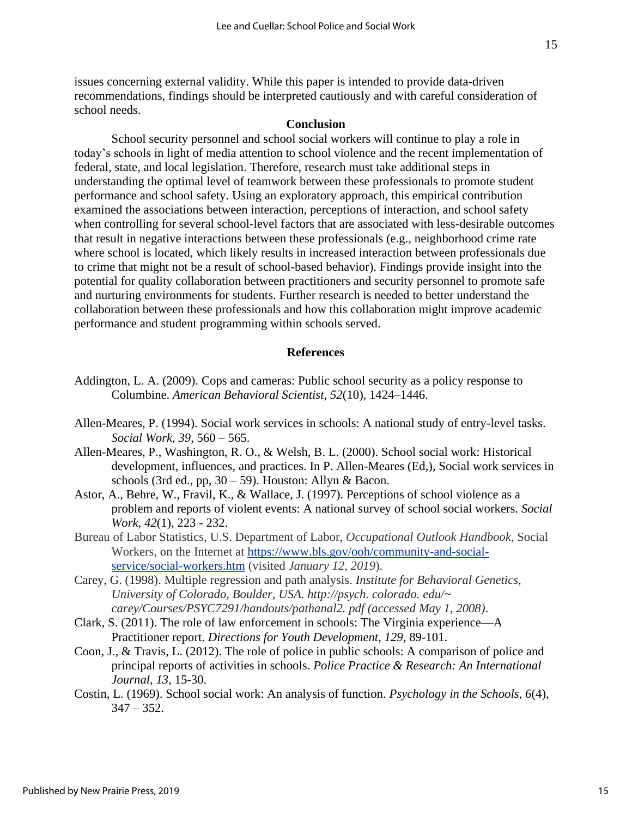issues concerning external validity. While this paper is intended to provide data-driven recommendations, findings should be interpreted cautiously and with careful consideration of school needs.

## **Conclusion**

School security personnel and school social workers will continue to play a role in today's schools in light of media attention to school violence and the recent implementation of federal, state, and local legislation. Therefore, research must take additional steps in understanding the optimal level of teamwork between these professionals to promote student performance and school safety. Using an exploratory approach, this empirical contribution examined the associations between interaction, perceptions of interaction, and school safety when controlling for several school-level factors that are associated with less-desirable outcomes that result in negative interactions between these professionals (e.g., neighborhood crime rate where school is located, which likely results in increased interaction between professionals due to crime that might not be a result of school-based behavior). Findings provide insight into the potential for quality collaboration between practitioners and security personnel to promote safe and nurturing environments for students. Further research is needed to better understand the collaboration between these professionals and how this collaboration might improve academic performance and student programming within schools served.

## **References**

- Addington, L. A. (2009). Cops and cameras: Public school security as a policy response to Columbine. *American Behavioral Scientist, 52*(10), 1424–1446.
- Allen-Meares, P. (1994). Social work services in schools: A national study of entry-level tasks. *Social Work, 39*, 560 – 565.
- Allen-Meares, P., Washington, R. O., & Welsh, B. L. (2000). School social work: Historical development, influences, and practices. In P. Allen-Meares (Ed,), Social work services in schools (3rd ed., pp,  $30 - 59$ ). Houston: Allyn & Bacon.
- Astor, A., Behre, W., Fravil, K., & Wallace, J. (1997). Perceptions of school violence as a problem and reports of violent events: A national survey of school social workers. *Social Work, 42*(1), 223 - 232.
- Bureau of Labor Statistics, U.S. Department of Labor, *Occupational Outlook Handbook*, Social Workers, on the Internet at [https://www.bls.gov/ooh/community-and-social](https://www.bls.gov/ooh/community-and-social-service/social-workers.htm)[service/social-workers.htm](https://www.bls.gov/ooh/community-and-social-service/social-workers.htm) (visited *January 12, 2019*).
- Carey, G. (1998). Multiple regression and path analysis. *Institute for Behavioral Genetics, University of Colorado, Boulder, USA. http://psych. colorado. edu/~ carey/Courses/PSYC7291/handouts/pathanal2. pdf (accessed May 1, 2008)*.
- Clark, S. (2011). The role of law enforcement in schools: The Virginia experience—A Practitioner report. *Directions for Youth Development, 129*, 89-101.
- Coon, J., & Travis, L. (2012). The role of police in public schools: A comparison of police and principal reports of activities in schools. *Police Practice & Research: An International Journal, 13*, 15-30.
- Costin, L. (1969). School social work: An analysis of function. *Psychology in the Schools, 6*(4),  $347 - 352$ .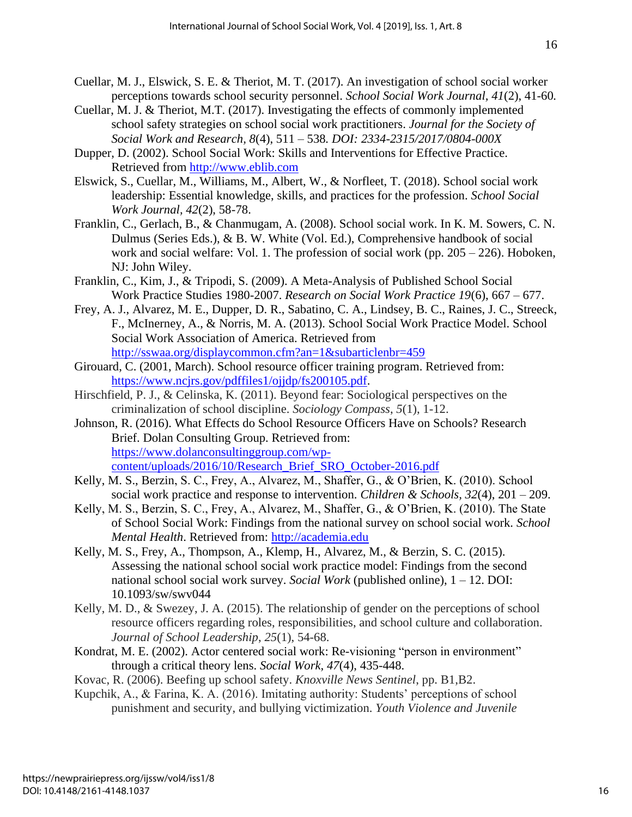- Cuellar, M. J., Elswick, S. E. & Theriot, M. T. (2017). An investigation of school social worker perceptions towards school security personnel. *School Social Work Journal, 41*(2), 41-60*.*
- Cuellar, M. J. & Theriot, M.T. (2017). Investigating the effects of commonly implemented school safety strategies on school social work practitioners. *Journal for the Society of Social Work and Research, 8*(4), 511 – 538*. DOI: 2334-2315/2017/0804-000X*
- Dupper, D. (2002). School Social Work: Skills and Interventions for Effective Practice. Retrieved from [http://www.eblib.com](http://www.eblib.com/)
- Elswick, S., Cuellar, M., Williams, M., Albert, W., & Norfleet, T. (2018). School social work leadership: Essential knowledge, skills, and practices for the profession. *School Social Work Journal, 42*(2), 58-78.
- Franklin, C., Gerlach, B., & Chanmugam, A. (2008). School social work. In K. M. Sowers, C. N. Dulmus (Series Eds.), & B. W. White (Vol. Ed.), Comprehensive handbook of social work and social welfare: Vol. 1. The profession of social work (pp. 205 – 226). Hoboken, NJ: John Wiley.
- Franklin, C., Kim, J., & Tripodi, S. (2009). A Meta-Analysis of Published School Social Work Practice Studies 1980-2007. *Research on Social Work Practice 19*(6), 667 – 677.
- Frey, A. J., Alvarez, M. E., Dupper, D. R., Sabatino, C. A., Lindsey, B. C., Raines, J. C., Streeck, F., McInerney, A., & Norris, M. A. (2013). School Social Work Practice Model. School Social Work Association of America. Retrieved from <http://sswaa.org/displaycommon.cfm?an=1&subarticlenbr=459>
- Girouard, C. (2001, March). School resource officer training program. Retrieved from: [https://www.ncjrs.gov/pdffiles1/ojjdp/fs200105.pdf.](https://www.ncjrs.gov/pdffiles1/ojjdp/fs200105.pdf)
- Hirschfield, P. J., & Celinska, K. (2011). Beyond fear: Sociological perspectives on the criminalization of school discipline. *Sociology Compass*, *5*(1), 1-12.
- Johnson, R. (2016). What Effects do School Resource Officers Have on Schools? Research Brief. Dolan Consulting Group. Retrieved from: [https://www.dolanconsultinggroup.com/wp](https://www.dolanconsultinggroup.com/wp-content/uploads/2016/10/Research_Brief_SRO_October-2016.pdf)[content/uploads/2016/10/Research\\_Brief\\_SRO\\_October-2016.pdf](https://www.dolanconsultinggroup.com/wp-content/uploads/2016/10/Research_Brief_SRO_October-2016.pdf)
- Kelly, M. S., Berzin, S. C., Frey, A., Alvarez, M., Shaffer, G., & O'Brien, K. (2010). School social work practice and response to intervention. *Children & Schools, 32*(4), 201 – 209.
- Kelly, M. S., Berzin, S. C., Frey, A., Alvarez, M., Shaffer, G., & O'Brien, K. (2010). The State of School Social Work: Findings from the national survey on school social work. *School Mental Health*. Retrieved from: [http://academia.edu](http://academia.edu/)
- Kelly, M. S., Frey, A., Thompson, A., Klemp, H., Alvarez, M., & Berzin, S. C. (2015). Assessing the national school social work practice model: Findings from the second national school social work survey. *Social Work* (published online), 1 – 12. DOI: 10.1093/sw/swv044
- Kelly, M. D., & Swezey, J. A. (2015). The relationship of gender on the perceptions of school resource officers regarding roles, responsibilities, and school culture and collaboration. *Journal of School Leadership*, *25*(1), 54-68.
- Kondrat, M. E. (2002). Actor centered social work: Re-visioning "person in environment" through a critical theory lens. *Social Work, 47*(4), 435-448.
- Kovac, R. (2006). Beefing up school safety. *Knoxville News Sentinel*, pp. B1,B2.
- Kupchik, A., & Farina, K. A. (2016). Imitating authority: Students' perceptions of school punishment and security, and bullying victimization. *Youth Violence and Juvenile*